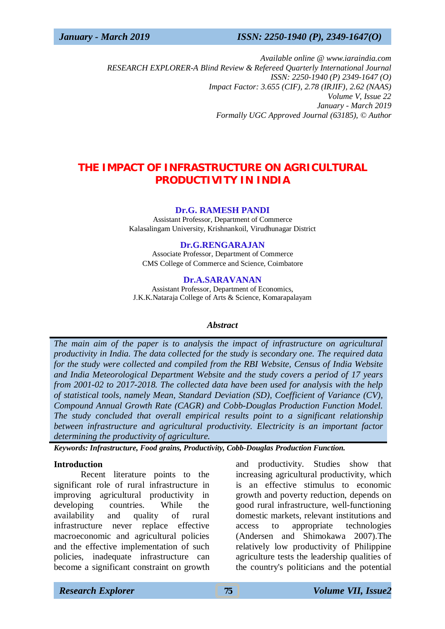### *January - March 2019 ISSN: 2250-1940 (P), 2349-1647(O)*

*Available online @ [www.iaraindia.com](http://www.iaraindia.com) RESEARCH EXPLORER-A Blind Review & Refereed Quarterly International Journal ISSN: 2250-1940 (P) 2349-1647 (O) Impact Factor: 3.655 (CIF), 2.78 (IRJIF), 2.62 (NAAS) Volume V, Issue 22 January - March 2019 Formally UGC Approved Journal (63185),* © *Author*

# **THE IMPACT OF INFRASTRUCTURE ON AGRICULTURAL PRODUCTIVITY IN INDIA**

#### **Dr.G. RAMESH PANDI**

Assistant Professor, Department of Commerce Kalasalingam University, Krishnankoil, Virudhunagar District

#### **Dr.G.RENGARAJAN**

Associate Professor, Department of Commerce CMS College of Commerce and Science, Coimbatore

#### **Dr.A.SARAVANAN**

Assistant Professor, Department of Economics, J.K.K.Nataraja College of Arts & Science, Komarapalayam

### *Abstract*

*The main aim of the paper is to analysis the impact of infrastructure on agricultural productivity in India. The data collected for the study is secondary one. The required data for the study were collected and compiled from the RBI Website, Census of India Website and India Meteorological Department Website and the study covers a period of 17 years from 2001-02 to 2017-2018. The collected data have been used for analysis with the help of statistical tools, namely Mean, Standard Deviation (SD), Coefficient of Variance (CV), Compound Annual Growth Rate (CAGR) and Cobb-Douglas Production Function Model. The study concluded that overall empirical results point to a significant relationship between infrastructure and agricultural productivity. Electricity is an important factor determining the productivity of agriculture.*

*Keywords: Infrastructure, Food grains, Productivity, Cobb-Douglas Production Function.*

#### **Introduction**

Recent literature points to the significant role of rural infrastructure in improving agricultural productivity in developing countries. While the availability and quality of rural infrastructure never replace effective macroeconomic and agricultural policies and the effective implementation of such policies, inadequate infrastructure can become a significant constraint on growth

and productivity. Studies show that increasing agricultural productivity, which is an effective stimulus to economic growth and poverty reduction, depends on good rural infrastructure, well-functioning domestic markets, relevant institutions and access to appropriate technologies (Andersen and Shimokawa 2007).The relatively low productivity of Philippine agriculture tests the leadership qualities of the country's politicians and the potential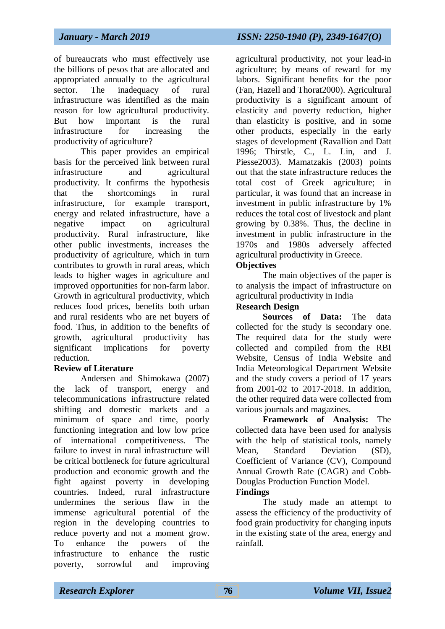of bureaucrats who must effectively use the billions of pesos that are allocated and appropriated annually to the agricultural sector. The inadequacy of rural infrastructure was identified as the main reason for low agricultural productivity. But how important is the rural infrastructure for increasing the productivity of agriculture?

This paper provides an empirical basis for the perceived link between rural infrastructure and agricultural productivity. It confirms the hypothesis that the shortcomings in rural infrastructure, for example transport, energy and related infrastructure, have a negative impact on agricultural productivity. Rural infrastructure, like other public investments, increases the productivity of agriculture, which in turn contributes to growth in rural areas, which leads to higher wages in agriculture and improved opportunities for non-farm labor. Growth in agricultural productivity, which reduces food prices, benefits both urban and rural residents who are net buyers of food. Thus, in addition to the benefits of growth, agricultural productivity has significant implications for poverty reduction.

# **Review of Literature**

Andersen and Shimokawa (2007) the lack of transport, energy and telecommunications infrastructure related shifting and domestic markets and a minimum of space and time, poorly functioning integration and low low price of international competitiveness. The failure to invest in rural infrastructure will be critical bottleneck for future agricultural production and economic growth and the fight against poverty in developing countries. Indeed, rural infrastructure undermines the serious flaw in the immense agricultural potential of the region in the developing countries to reduce poverty and not a moment grow. To enhance the powers of the infrastructure to enhance the rustic poverty, sorrowful and improving

agricultural productivity, not your lead-in agriculture; by means of reward for my labors. Significant benefits for the poor (Fan, Hazell and Thorat2000). Agricultural productivity is a significant amount of elasticity and poverty reduction, higher than elasticity is positive, and in some other products, especially in the early stages of development (Ravallion and Datt 1996; Thirstle, C., L. Lin, and J. Piesse2003). Mamatzakis (2003) points out that the state infrastructure reduces the total cost of Greek agriculture; in particular, it was found that an increase in investment in public infrastructure by 1% reduces the total cost of livestock and plant growing by 0.38%. Thus, the decline in investment in public infrastructure in the 1970s and 1980s adversely affected agricultural productivity in Greece.

# **Objectives**

The main objectives of the paper is to analysis the impact of infrastructure on agricultural productivity in India

# **Research Design**

**Sources of Data:** The data collected for the study is secondary one. The required data for the study were collected and compiled from the RBI Website, Census of India Website and India Meteorological Department Website and the study covers a period of 17 years from 2001-02 to 2017-2018. In addition, the other required data were collected from various journals and magazines.

**Framework of Analysis:** The collected data have been used for analysis with the help of statistical tools, namely Mean, Standard Deviation (SD), Coefficient of Variance (CV), Compound Annual Growth Rate (CAGR) and Cobb-Douglas Production Function Model.

# **Findings**

The study made an attempt to assess the efficiency of the productivity of food grain productivity for changing inputs in the existing state of the area, energy and rainfall.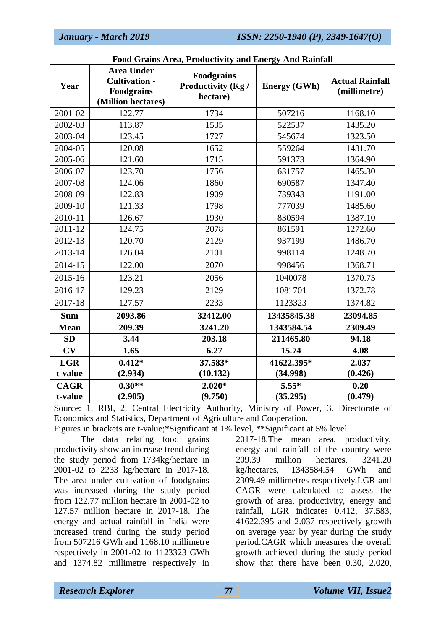*January - March 2019 ISSN: 2250-1940 (P), 2349-1647(O)*

| Year        | <b>Area Under</b><br><b>Cultivation -</b><br><b>Foodgrains</b><br>(Million hectares) | гоод Отаніз Атса, і годисимну ани Енстру Ани Каннан<br><b>Foodgrains</b><br>Productivity (Kg /<br>hectare) | <b>Energy (GWh)</b> | <b>Actual Rainfall</b><br>(millimetre) |  |
|-------------|--------------------------------------------------------------------------------------|------------------------------------------------------------------------------------------------------------|---------------------|----------------------------------------|--|
| 2001-02     | 122.77                                                                               | 1734                                                                                                       | 507216              | 1168.10                                |  |
| 2002-03     | 113.87                                                                               | 1535                                                                                                       | 522537              | 1435.20                                |  |
| 2003-04     | 123.45                                                                               | 1727                                                                                                       | 545674              | 1323.50                                |  |
| 2004-05     | 120.08                                                                               | 1652<br>559264                                                                                             |                     | 1431.70                                |  |
| 2005-06     | 121.60                                                                               | 1715                                                                                                       | 591373              | 1364.90                                |  |
| 2006-07     | 123.70                                                                               | 1756                                                                                                       | 631757              | 1465.30                                |  |
| 2007-08     | 124.06                                                                               | 1860                                                                                                       | 690587              | 1347.40                                |  |
| 2008-09     | 122.83                                                                               | 1909                                                                                                       | 739343              | 1191.00                                |  |
| 2009-10     | 121.33                                                                               | 1798                                                                                                       | 777039              | 1485.60                                |  |
| 2010-11     | 126.67                                                                               | 1930                                                                                                       | 830594              | 1387.10                                |  |
| 2011-12     | 124.75                                                                               | 2078                                                                                                       | 861591              | 1272.60                                |  |
| 2012-13     | 120.70                                                                               | 2129                                                                                                       | 937199              | 1486.70                                |  |
| 2013-14     | 126.04                                                                               | 2101                                                                                                       | 998114              | 1248.70                                |  |
| 2014-15     | 122.00                                                                               | 2070                                                                                                       | 998456              | 1368.71                                |  |
| 2015-16     | 123.21                                                                               | 2056                                                                                                       | 1040078             | 1370.75                                |  |
| 2016-17     | 129.23                                                                               | 2129                                                                                                       | 1081701             | 1372.78                                |  |
| 2017-18     | 127.57                                                                               | 2233                                                                                                       | 1123323             | 1374.82                                |  |
| <b>Sum</b>  | 2093.86                                                                              | 32412.00                                                                                                   | 13435845.38         | 23094.85                               |  |
| <b>Mean</b> | 209.39                                                                               | 3241.20                                                                                                    | 1343584.54          | 2309.49                                |  |
| SD          | 3.44                                                                                 | 203.18                                                                                                     | 211465.80           | 94.18                                  |  |
| CV          | 1.65                                                                                 | 6.27                                                                                                       | 15.74               | 4.08                                   |  |
| <b>LGR</b>  | $0.412*$                                                                             | 37.583*                                                                                                    | 41622.395*          | 2.037                                  |  |
| t-value     | (2.934)                                                                              | (10.132)                                                                                                   | (34.998)            | (0.426)                                |  |
| <b>CAGR</b> | $0.30**$                                                                             | $2.020*$                                                                                                   | $5.55*$             | 0.20                                   |  |
| t-value     | (2.905)                                                                              | (9.750)                                                                                                    | (35.295)            | (0.479)                                |  |

## **Food Grains Area, Productivity and Energy And Rainfall**

Source: 1. RBI, 2. Central Electricity Authority, Ministry of Power, 3. Directorate of Economics and Statistics, Department of Agriculture and Cooperation.

Figures in brackets are t-value;\*Significant at 1% level, \*\*Significant at 5% level.

The data relating food grains productivity show an increase trend during the study period from 1734kg/hectare in 2001-02 to 2233 kg/hectare in 2017-18. The area under cultivation of foodgrains was increased during the study period from 122.77 million hectare in 2001-02 to 127.57 million hectare in 2017-18. The energy and actual rainfall in India were increased trend during the study period from 507216 GWh and 1168.10 millimetre respectively in 2001-02 to 1123323 GWh and 1374.82 millimetre respectively in

2017-18.The mean area, productivity, energy and rainfall of the country were 209.39 million hectares, 3241.20 kg/hectares, 1343584.54 GWh and 2309.49 millimetres respectively.LGR and CAGR were calculated to assess the growth of area, productivity, energy and rainfall, LGR indicates 0.412, 37.583, 41622.395 and 2.037 respectively growth on average year by year during the study period.CAGR which measures the overall growth achieved during the study period show that there have been 0.30, 2.020,